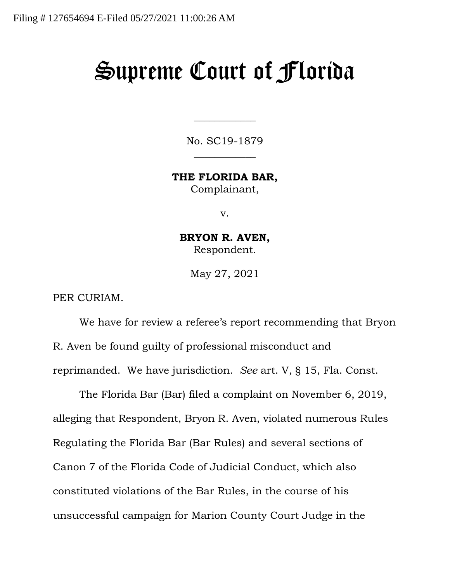## Supreme Court of Florida

No. SC19-1879  $\overline{\phantom{a}}$ 

 $\overline{\phantom{a}}$ 

**THE FLORIDA BAR,** Complainant,

v.

**BRYON R. AVEN,** Respondent.

May 27, 2021

PER CURIAM.

We have for review a referee's report recommending that Bryon R. Aven be found guilty of professional misconduct and reprimanded. We have jurisdiction. *See* art. V, § 15, Fla. Const.

The Florida Bar (Bar) filed a complaint on November 6, 2019, alleging that Respondent, Bryon R. Aven, violated numerous Rules Regulating the Florida Bar (Bar Rules) and several sections of Canon 7 of the Florida Code of Judicial Conduct, which also constituted violations of the Bar Rules, in the course of his unsuccessful campaign for Marion County Court Judge in the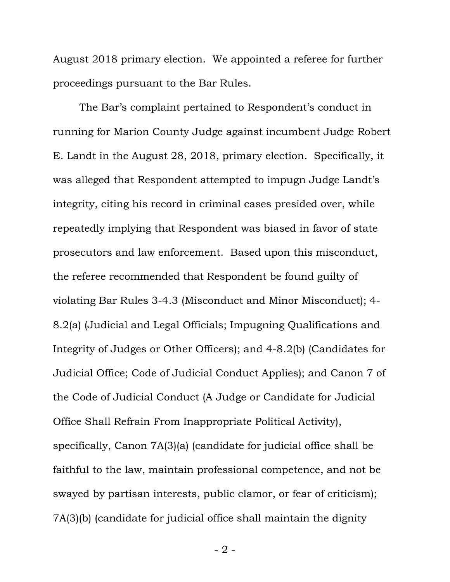August 2018 primary election. We appointed a referee for further proceedings pursuant to the Bar Rules.

The Bar's complaint pertained to Respondent's conduct in running for Marion County Judge against incumbent Judge Robert E. Landt in the August 28, 2018, primary election. Specifically, it was alleged that Respondent attempted to impugn Judge Landt's integrity, citing his record in criminal cases presided over, while repeatedly implying that Respondent was biased in favor of state prosecutors and law enforcement. Based upon this misconduct, the referee recommended that Respondent be found guilty of violating Bar Rules 3-4.3 (Misconduct and Minor Misconduct); 4- 8.2(a) (Judicial and Legal Officials; Impugning Qualifications and Integrity of Judges or Other Officers); and 4-8.2(b) (Candidates for Judicial Office; Code of Judicial Conduct Applies); and Canon 7 of the Code of Judicial Conduct (A Judge or Candidate for Judicial Office Shall Refrain From Inappropriate Political Activity), specifically, Canon 7A(3)(a) (candidate for judicial office shall be faithful to the law, maintain professional competence, and not be swayed by partisan interests, public clamor, or fear of criticism); 7A(3)(b) (candidate for judicial office shall maintain the dignity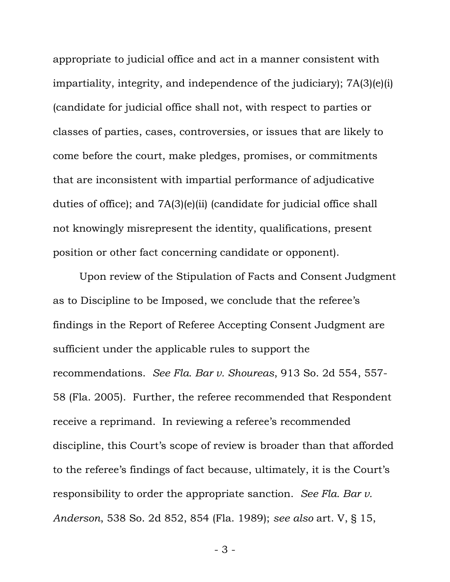appropriate to judicial office and act in a manner consistent with impartiality, integrity, and independence of the judiciary); 7A(3)(e)(i) (candidate for judicial office shall not, with respect to parties or classes of parties, cases, controversies, or issues that are likely to come before the court, make pledges, promises, or commitments that are inconsistent with impartial performance of adjudicative duties of office); and 7A(3)(e)(ii) (candidate for judicial office shall not knowingly misrepresent the identity, qualifications, present position or other fact concerning candidate or opponent).

Upon review of the Stipulation of Facts and Consent Judgment as to Discipline to be Imposed, we conclude that the referee's findings in the Report of Referee Accepting Consent Judgment are sufficient under the applicable rules to support the recommendations. *See Fla. Bar v. Shoureas*, 913 So. 2d 554, 557- 58 (Fla. 2005). Further, the referee recommended that Respondent receive a reprimand. In reviewing a referee's recommended discipline, this Court's scope of review is broader than that afforded to the referee's findings of fact because, ultimately, it is the Court's responsibility to order the appropriate sanction. *See Fla. Bar v. Anderson*, 538 So. 2d 852, 854 (Fla. 1989); *see also* art. V, § 15,

- 3 -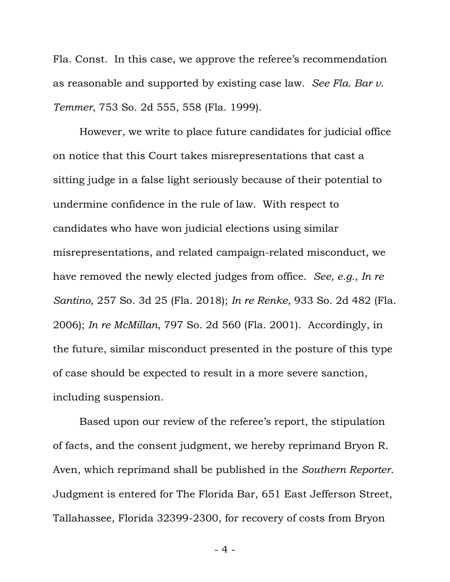Fla. Const. In this case, we approve the referee's recommendation as reasonable and supported by existing case law. *See Fla. Bar v. Temmer*, 753 So. 2d 555, 558 (Fla. 1999).

However, we write to place future candidates for judicial office on notice that this Court takes misrepresentations that cast a sitting judge in a false light seriously because of their potential to undermine confidence in the rule of law. With respect to candidates who have won judicial elections using similar misrepresentations, and related campaign-related misconduct, we have removed the newly elected judges from office. *See, e.g.*, *In re Santino*, 257 So. 3d 25 (Fla. 2018); *In re Renke*, 933 So. 2d 482 (Fla. 2006); *In re McMillan*, 797 So. 2d 560 (Fla. 2001). Accordingly, in the future, similar misconduct presented in the posture of this type of case should be expected to result in a more severe sanction, including suspension.

Based upon our review of the referee's report, the stipulation of facts, and the consent judgment, we hereby reprimand Bryon R. Aven, which reprimand shall be published in the *Southern Reporter*. Judgment is entered for The Florida Bar, 651 East Jefferson Street, Tallahassee, Florida 32399-2300, for recovery of costs from Bryon

- 4 -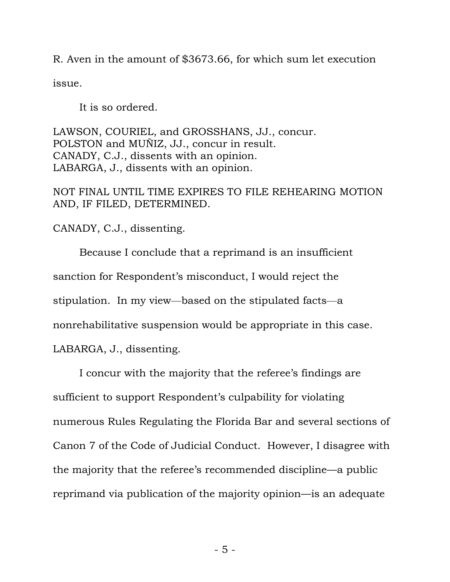R. Aven in the amount of \$3673.66, for which sum let execution issue.

It is so ordered.

LAWSON, COURIEL, and GROSSHANS, JJ., concur. POLSTON and MUÑIZ, JJ., concur in result. CANADY, C.J., dissents with an opinion. LABARGA, J., dissents with an opinion.

NOT FINAL UNTIL TIME EXPIRES TO FILE REHEARING MOTION AND, IF FILED, DETERMINED.

CANADY, C.J., dissenting.

Because I conclude that a reprimand is an insufficient sanction for Respondent's misconduct, I would reject the stipulation. In my view—based on the stipulated facts—a nonrehabilitative suspension would be appropriate in this case. LABARGA, J., dissenting.

I concur with the majority that the referee's findings are sufficient to support Respondent's culpability for violating numerous Rules Regulating the Florida Bar and several sections of Canon 7 of the Code of Judicial Conduct. However, I disagree with the majority that the referee's recommended discipline—a public reprimand via publication of the majority opinion—is an adequate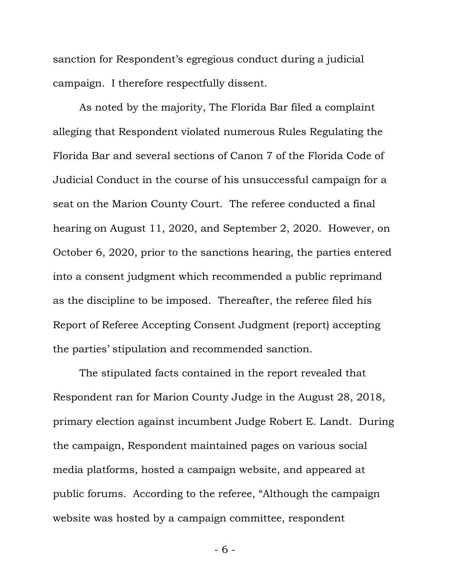sanction for Respondent's egregious conduct during a judicial campaign. I therefore respectfully dissent.

As noted by the majority, The Florida Bar filed a complaint alleging that Respondent violated numerous Rules Regulating the Florida Bar and several sections of Canon 7 of the Florida Code of Judicial Conduct in the course of his unsuccessful campaign for a seat on the Marion County Court. The referee conducted a final hearing on August 11, 2020, and September 2, 2020. However, on October 6, 2020, prior to the sanctions hearing, the parties entered into a consent judgment which recommended a public reprimand as the discipline to be imposed. Thereafter, the referee filed his Report of Referee Accepting Consent Judgment (report) accepting the parties' stipulation and recommended sanction.

The stipulated facts contained in the report revealed that Respondent ran for Marion County Judge in the August 28, 2018, primary election against incumbent Judge Robert E. Landt. During the campaign, Respondent maintained pages on various social media platforms, hosted a campaign website, and appeared at public forums. According to the referee, "Although the campaign website was hosted by a campaign committee, respondent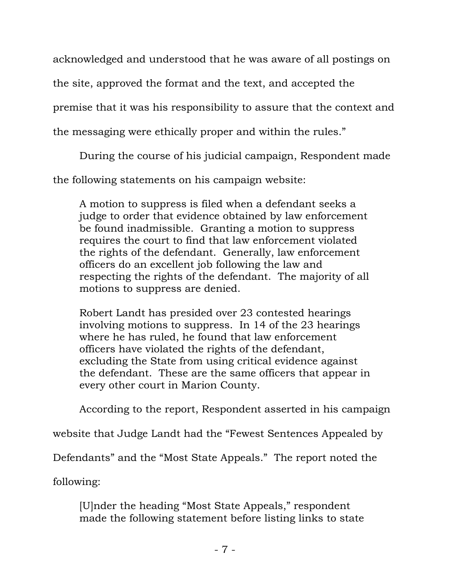acknowledged and understood that he was aware of all postings on

the site, approved the format and the text, and accepted the

premise that it was his responsibility to assure that the context and

the messaging were ethically proper and within the rules."

During the course of his judicial campaign, Respondent made

the following statements on his campaign website:

A motion to suppress is filed when a defendant seeks a judge to order that evidence obtained by law enforcement be found inadmissible. Granting a motion to suppress requires the court to find that law enforcement violated the rights of the defendant. Generally, law enforcement officers do an excellent job following the law and respecting the rights of the defendant. The majority of all motions to suppress are denied.

Robert Landt has presided over 23 contested hearings involving motions to suppress. In 14 of the 23 hearings where he has ruled, he found that law enforcement officers have violated the rights of the defendant, excluding the State from using critical evidence against the defendant. These are the same officers that appear in every other court in Marion County.

According to the report, Respondent asserted in his campaign

website that Judge Landt had the "Fewest Sentences Appealed by

Defendants" and the "Most State Appeals." The report noted the

following:

[U]nder the heading "Most State Appeals," respondent made the following statement before listing links to state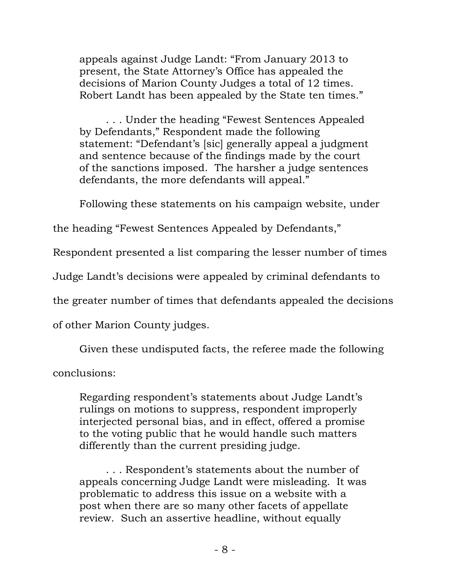appeals against Judge Landt: "From January 2013 to present, the State Attorney's Office has appealed the decisions of Marion County Judges a total of 12 times. Robert Landt has been appealed by the State ten times."

. . . Under the heading "Fewest Sentences Appealed by Defendants," Respondent made the following statement: "Defendant's [sic] generally appeal a judgment and sentence because of the findings made by the court of the sanctions imposed. The harsher a judge sentences defendants, the more defendants will appeal."

Following these statements on his campaign website, under

the heading "Fewest Sentences Appealed by Defendants,"

Respondent presented a list comparing the lesser number of times

Judge Landt's decisions were appealed by criminal defendants to

the greater number of times that defendants appealed the decisions

of other Marion County judges.

Given these undisputed facts, the referee made the following

conclusions:

Regarding respondent's statements about Judge Landt's rulings on motions to suppress, respondent improperly interjected personal bias, and in effect, offered a promise to the voting public that he would handle such matters differently than the current presiding judge.

. . . Respondent's statements about the number of appeals concerning Judge Landt were misleading. It was problematic to address this issue on a website with a post when there are so many other facets of appellate review. Such an assertive headline, without equally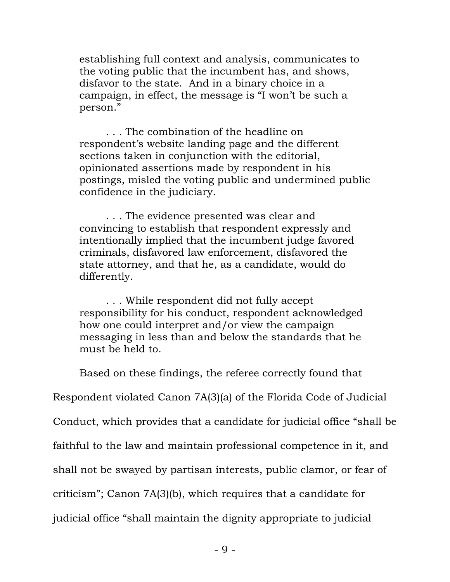establishing full context and analysis, communicates to the voting public that the incumbent has, and shows, disfavor to the state. And in a binary choice in a campaign, in effect, the message is "I won't be such a person."

. . . The combination of the headline on respondent's website landing page and the different sections taken in conjunction with the editorial, opinionated assertions made by respondent in his postings, misled the voting public and undermined public confidence in the judiciary.

. . . The evidence presented was clear and convincing to establish that respondent expressly and intentionally implied that the incumbent judge favored criminals, disfavored law enforcement, disfavored the state attorney, and that he, as a candidate, would do differently.

. . . While respondent did not fully accept responsibility for his conduct, respondent acknowledged how one could interpret and/or view the campaign messaging in less than and below the standards that he must be held to.

Based on these findings, the referee correctly found that

Respondent violated Canon 7A(3)(a) of the Florida Code of Judicial

Conduct, which provides that a candidate for judicial office "shall be

faithful to the law and maintain professional competence in it, and

shall not be swayed by partisan interests, public clamor, or fear of

criticism"; Canon 7A(3)(b), which requires that a candidate for

judicial office "shall maintain the dignity appropriate to judicial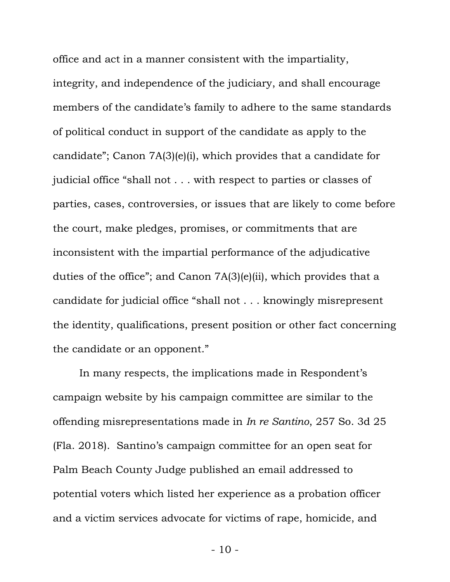office and act in a manner consistent with the impartiality, integrity, and independence of the judiciary, and shall encourage members of the candidate's family to adhere to the same standards of political conduct in support of the candidate as apply to the candidate"; Canon 7A(3)(e)(i), which provides that a candidate for judicial office "shall not . . . with respect to parties or classes of parties, cases, controversies, or issues that are likely to come before the court, make pledges, promises, or commitments that are inconsistent with the impartial performance of the adjudicative duties of the office"; and Canon 7A(3)(e)(ii), which provides that a candidate for judicial office "shall not . . . knowingly misrepresent the identity, qualifications, present position or other fact concerning the candidate or an opponent."

In many respects, the implications made in Respondent's campaign website by his campaign committee are similar to the offending misrepresentations made in *In re Santino*, 257 So. 3d 25 (Fla. 2018). Santino's campaign committee for an open seat for Palm Beach County Judge published an email addressed to potential voters which listed her experience as a probation officer and a victim services advocate for victims of rape, homicide, and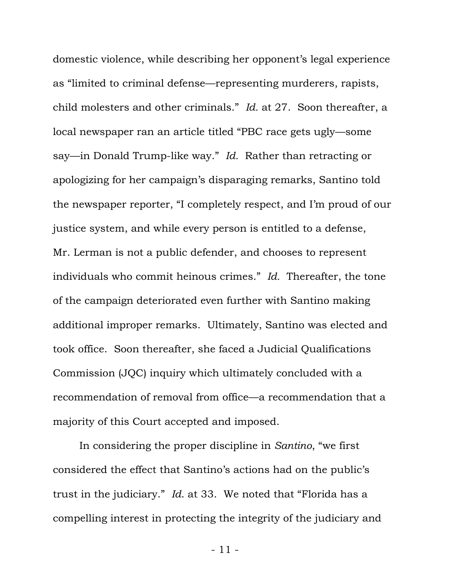domestic violence, while describing her opponent's legal experience as "limited to criminal defense—representing murderers, rapists, child molesters and other criminals." *Id.* at 27. Soon thereafter, a local newspaper ran an article titled "PBC race gets ugly—some say—in Donald Trump-like way." *Id.* Rather than retracting or apologizing for her campaign's disparaging remarks, Santino told the newspaper reporter, "I completely respect, and I'm proud of our justice system, and while every person is entitled to a defense, Mr. Lerman is not a public defender, and chooses to represent individuals who commit heinous crimes." *Id.* Thereafter, the tone of the campaign deteriorated even further with Santino making additional improper remarks. Ultimately, Santino was elected and took office. Soon thereafter, she faced a Judicial Qualifications Commission (JQC) inquiry which ultimately concluded with a recommendation of removal from office—a recommendation that a majority of this Court accepted and imposed.

In considering the proper discipline in *Santino*, "we first considered the effect that Santino's actions had on the public's trust in the judiciary." *Id*. at 33. We noted that "Florida has a compelling interest in protecting the integrity of the judiciary and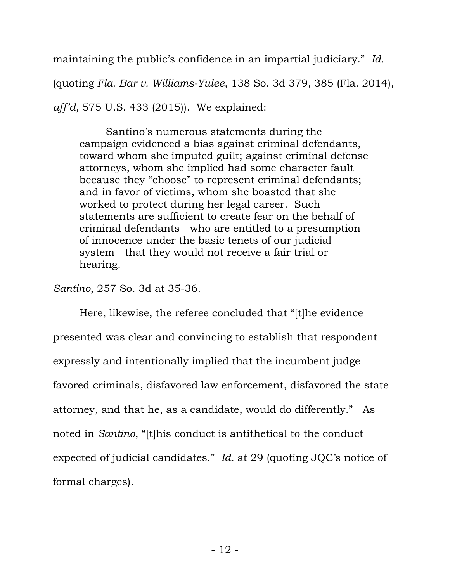maintaining the public's confidence in an impartial judiciary." *Id.* 

(quoting *Fla. Bar v. Williams-Yulee*, 138 So. 3d 379, 385 (Fla. 2014),

*aff'd*, 575 U.S. 433 (2015)). We explained:

Santino's numerous statements during the campaign evidenced a bias against criminal defendants, toward whom she imputed guilt; against criminal defense attorneys, whom she implied had some character fault because they "choose" to represent criminal defendants; and in favor of victims, whom she boasted that she worked to protect during her legal career. Such statements are sufficient to create fear on the behalf of criminal defendants—who are entitled to a presumption of innocence under the basic tenets of our judicial system—that they would not receive a fair trial or hearing.

*Santino*, 257 So. 3d at 35-36.

Here, likewise, the referee concluded that "[t]he evidence presented was clear and convincing to establish that respondent expressly and intentionally implied that the incumbent judge favored criminals, disfavored law enforcement, disfavored the state attorney, and that he, as a candidate, would do differently." As noted in *Santino*, "[t]his conduct is antithetical to the conduct expected of judicial candidates." *Id.* at 29 (quoting JQC's notice of formal charges).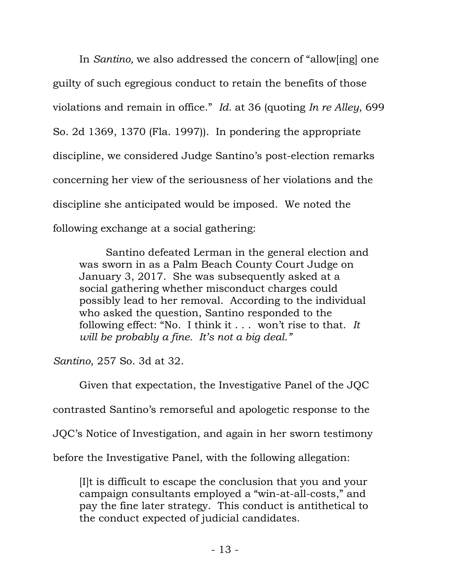In *Santino,* we also addressed the concern of "allow[ing] one guilty of such egregious conduct to retain the benefits of those violations and remain in office." *Id.* at 36 (quoting *In re Alley*, 699 So. 2d 1369, 1370 (Fla. 1997)). In pondering the appropriate discipline, we considered Judge Santino's post-election remarks concerning her view of the seriousness of her violations and the discipline she anticipated would be imposed. We noted the following exchange at a social gathering:

Santino defeated Lerman in the general election and was sworn in as a Palm Beach County Court Judge on January 3, 2017. She was subsequently asked at a social gathering whether misconduct charges could possibly lead to her removal. According to the individual who asked the question, Santino responded to the following effect: "No. I think it . . . won't rise to that. *It will be probably a fine. It's not a big deal."*

*Santino*, 257 So. 3d at 32.

Given that expectation, the Investigative Panel of the JQC

contrasted Santino's remorseful and apologetic response to the

JQC's Notice of Investigation, and again in her sworn testimony

before the Investigative Panel, with the following allegation:

[I]t is difficult to escape the conclusion that you and your campaign consultants employed a "win-at-all-costs," and pay the fine later strategy. This conduct is antithetical to the conduct expected of judicial candidates.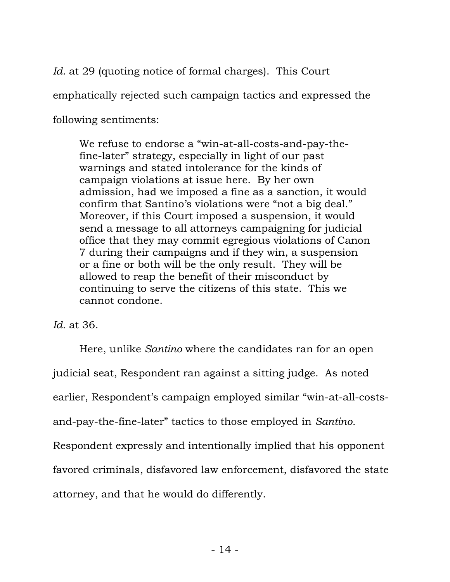*Id.* at 29 (quoting notice of formal charges). This Court emphatically rejected such campaign tactics and expressed the following sentiments:

We refuse to endorse a "win-at-all-costs-and-pay-thefine-later" strategy, especially in light of our past warnings and stated intolerance for the kinds of campaign violations at issue here. By her own admission, had we imposed a fine as a sanction, it would confirm that Santino's violations were "not a big deal." Moreover, if this Court imposed a suspension, it would send a message to all attorneys campaigning for judicial office that they may commit egregious violations of Canon 7 during their campaigns and if they win, a suspension or a fine or both will be the only result. They will be allowed to reap the benefit of their misconduct by continuing to serve the citizens of this state. This we cannot condone.

*Id.* at 36.

Here, unlike *Santino* where the candidates ran for an open judicial seat, Respondent ran against a sitting judge. As noted earlier, Respondent's campaign employed similar "win-at-all-costsand-pay-the-fine-later" tactics to those employed in *Santino*. Respondent expressly and intentionally implied that his opponent favored criminals, disfavored law enforcement, disfavored the state attorney, and that he would do differently.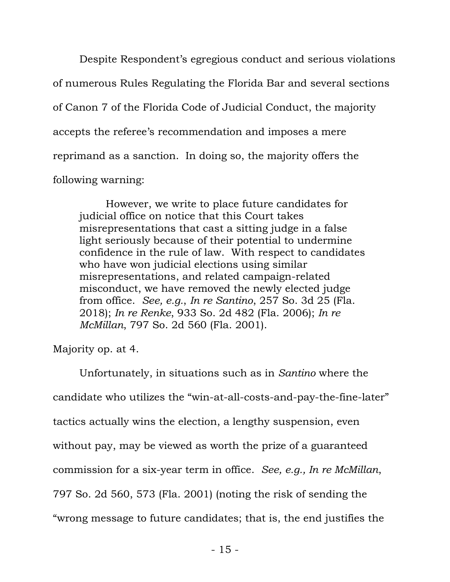Despite Respondent's egregious conduct and serious violations of numerous Rules Regulating the Florida Bar and several sections of Canon 7 of the Florida Code of Judicial Conduct, the majority accepts the referee's recommendation and imposes a mere reprimand as a sanction. In doing so, the majority offers the following warning:

However, we write to place future candidates for judicial office on notice that this Court takes misrepresentations that cast a sitting judge in a false light seriously because of their potential to undermine confidence in the rule of law. With respect to candidates who have won judicial elections using similar misrepresentations, and related campaign-related misconduct, we have removed the newly elected judge from office. *See, e.g.*, *In re Santino*, 257 So. 3d 25 (Fla. 2018); *In re Renke*, 933 So. 2d 482 (Fla. 2006); *In re McMillan*, 797 So. 2d 560 (Fla. 2001).

Majority op. at 4.

Unfortunately, in situations such as in *Santino* where the candidate who utilizes the "win-at-all-costs-and-pay-the-fine-later" tactics actually wins the election, a lengthy suspension, even without pay, may be viewed as worth the prize of a guaranteed commission for a six-year term in office. *See, e.g., In re McMillan*, 797 So. 2d 560, 573 (Fla. 2001) (noting the risk of sending the "wrong message to future candidates; that is, the end justifies the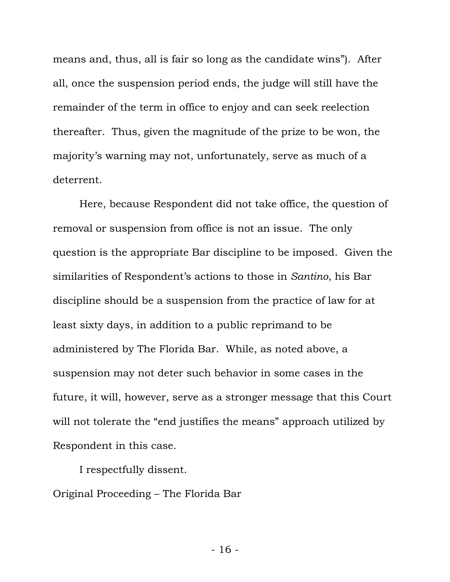means and, thus, all is fair so long as the candidate wins"). After all, once the suspension period ends, the judge will still have the remainder of the term in office to enjoy and can seek reelection thereafter. Thus, given the magnitude of the prize to be won, the majority's warning may not, unfortunately, serve as much of a deterrent.

Here, because Respondent did not take office, the question of removal or suspension from office is not an issue. The only question is the appropriate Bar discipline to be imposed. Given the similarities of Respondent's actions to those in *Santino*, his Bar discipline should be a suspension from the practice of law for at least sixty days, in addition to a public reprimand to be administered by The Florida Bar. While, as noted above, a suspension may not deter such behavior in some cases in the future, it will, however, serve as a stronger message that this Court will not tolerate the "end justifies the means" approach utilized by Respondent in this case.

I respectfully dissent.

Original Proceeding – The Florida Bar